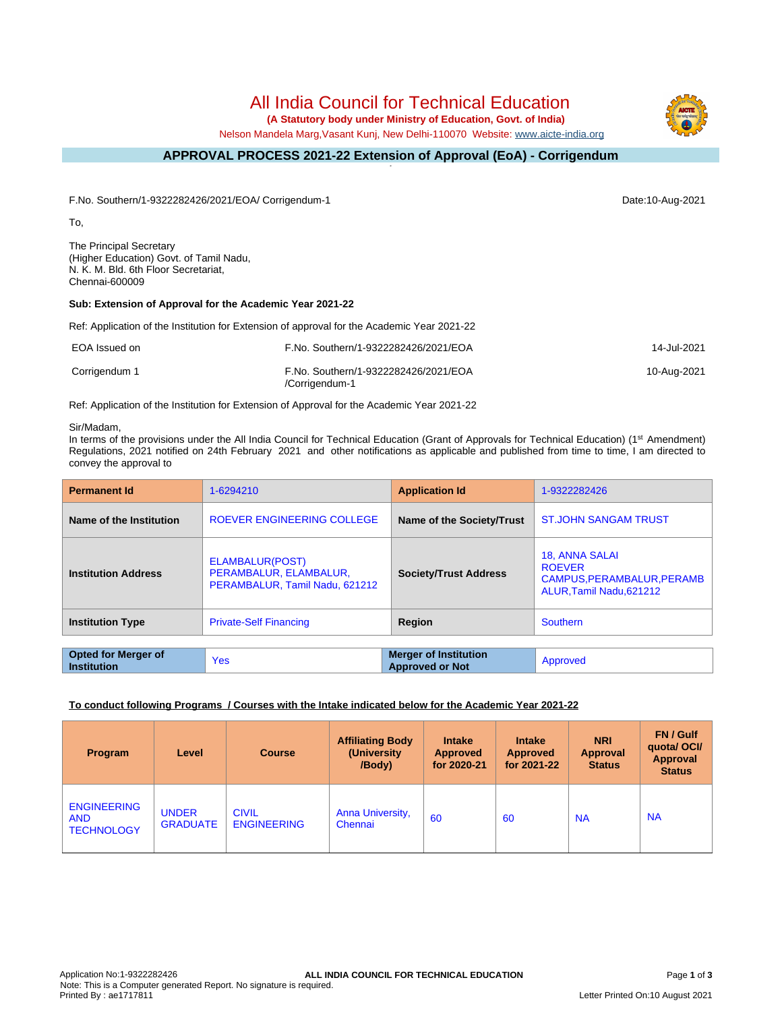# All India Council for Technical Education

 **(A Statutory body under Ministry of Education, Govt. of India)**

Nelson Mandela Marg,Vasant Kunj, New Delhi-110070 Website: [www.aicte-india.org](http://www.aicte-india.org)

#### **APPROVAL PROCESS 2021-22 Extension of Approval (EoA) - Corrigendum -**

F.No. Southern/1-9322282426/2021/EOA/ Corrigendum-1 Date:10-Aug-2021

To,

The Principal Secretary (Higher Education) Govt. of Tamil Nadu, N. K. M. Bld. 6th Floor Secretariat, Chennai-600009

# **Sub: Extension of Approval for the Academic Year 2021-22**

Ref: Application of the Institution for Extension of approval for the Academic Year 2021-22

| EOA Issued on | F.No. Southern/1-9322282426/2021/EOA                   | 14-Jul-2021 |
|---------------|--------------------------------------------------------|-------------|
| Corrigendum 1 | F.No. Southern/1-9322282426/2021/EOA<br>/Corrigendum-1 | 10-Aug-2021 |

Ref: Application of the Institution for Extension of Approval for the Academic Year 2021-22

#### Sir/Madam,

In terms of the provisions under the All India Council for Technical Education (Grant of Approvals for Technical Education) (1<sup>st</sup> Amendment) Regulations, 2021 notified on 24th February 2021 and other notifications as applicable and published from time to time, I am directed to convey the approval to

| <b>Permanent Id</b>                              | 1-6294210                                                                   |                                                        | 1-9322282426                                                                                   |  |
|--------------------------------------------------|-----------------------------------------------------------------------------|--------------------------------------------------------|------------------------------------------------------------------------------------------------|--|
| Name of the Institution                          | <b>ROEVER ENGINEERING COLLEGE</b>                                           | Name of the Society/Trust                              | <b>ST.JOHN SANGAM TRUST</b>                                                                    |  |
| <b>Institution Address</b>                       | ELAMBALUR(POST)<br>PERAMBALUR, ELAMBALUR,<br>PERAMBALUR, Tamil Nadu, 621212 | <b>Society/Trust Address</b>                           | <b>18, ANNA SALAI</b><br><b>ROEVER</b><br>CAMPUS, PERAMBALUR, PERAMB<br>ALUR.Tamil Nadu.621212 |  |
| <b>Institution Type</b>                          | <b>Private-Self Financing</b>                                               | Region                                                 | Southern                                                                                       |  |
|                                                  |                                                                             |                                                        |                                                                                                |  |
| <b>Opted for Merger of</b><br><b>Institution</b> | <b>Yes</b>                                                                  | <b>Merger of Institution</b><br><b>Approved or Not</b> | Approved                                                                                       |  |

# **To conduct following Programs / Courses with the Intake indicated below for the Academic Year 2021-22**

| Program                                               | Level                           | <b>Course</b>                      | <b>Affiliating Body</b><br>(University)<br>/Body) | <b>Intake</b><br><b>Approved</b><br>for 2020-21 | <b>Intake</b><br><b>Approved</b><br>for 2021-22 | <b>NRI</b><br>Approval<br><b>Status</b> | FN / Gulf<br>quotal OCI/<br><b>Approval</b><br><b>Status</b> |
|-------------------------------------------------------|---------------------------------|------------------------------------|---------------------------------------------------|-------------------------------------------------|-------------------------------------------------|-----------------------------------------|--------------------------------------------------------------|
| <b>ENGINEERING</b><br><b>AND</b><br><b>TECHNOLOGY</b> | <b>UNDER</b><br><b>GRADUATE</b> | <b>CIVIL</b><br><b>ENGINEERING</b> | <b>Anna University,</b><br>Chennai                | 60                                              | 60                                              | <b>NA</b>                               | <b>NA</b>                                                    |



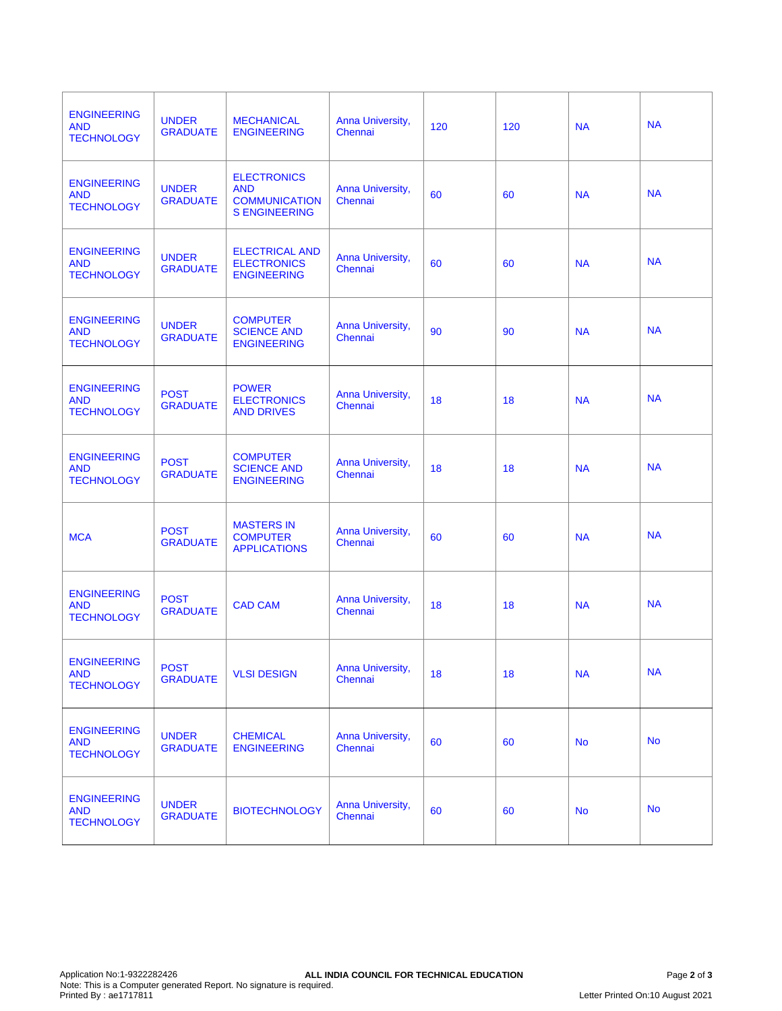| <b>ENGINEERING</b><br><b>AND</b><br><b>TECHNOLOGY</b> | <b>UNDER</b><br><b>GRADUATE</b> | <b>MECHANICAL</b><br><b>ENGINEERING</b>                                          | Anna University,<br>Chennai | 120 | 120 | <b>NA</b> | <b>NA</b> |
|-------------------------------------------------------|---------------------------------|----------------------------------------------------------------------------------|-----------------------------|-----|-----|-----------|-----------|
| <b>ENGINEERING</b><br><b>AND</b><br><b>TECHNOLOGY</b> | <b>UNDER</b><br><b>GRADUATE</b> | <b>ELECTRONICS</b><br><b>AND</b><br><b>COMMUNICATION</b><br><b>S ENGINEERING</b> | Anna University,<br>Chennai | 60  | 60  | <b>NA</b> | <b>NA</b> |
| <b>ENGINEERING</b><br><b>AND</b><br><b>TECHNOLOGY</b> | <b>UNDER</b><br><b>GRADUATE</b> | <b>ELECTRICAL AND</b><br><b>ELECTRONICS</b><br><b>ENGINEERING</b>                | Anna University,<br>Chennai | 60  | 60  | <b>NA</b> | <b>NA</b> |
| <b>ENGINEERING</b><br><b>AND</b><br><b>TECHNOLOGY</b> | <b>UNDER</b><br><b>GRADUATE</b> | <b>COMPUTER</b><br><b>SCIENCE AND</b><br><b>ENGINEERING</b>                      | Anna University,<br>Chennai | 90  | 90  | <b>NA</b> | <b>NA</b> |
| <b>ENGINEERING</b><br><b>AND</b><br><b>TECHNOLOGY</b> | <b>POST</b><br><b>GRADUATE</b>  | <b>POWER</b><br><b>ELECTRONICS</b><br><b>AND DRIVES</b>                          | Anna University,<br>Chennai | 18  | 18  | <b>NA</b> | <b>NA</b> |
| <b>ENGINEERING</b><br><b>AND</b><br><b>TECHNOLOGY</b> | <b>POST</b><br><b>GRADUATE</b>  | <b>COMPUTER</b><br><b>SCIENCE AND</b><br><b>ENGINEERING</b>                      | Anna University,<br>Chennai | 18  | 18  | <b>NA</b> | <b>NA</b> |
| <b>MCA</b>                                            | <b>POST</b><br><b>GRADUATE</b>  | <b>MASTERS IN</b><br><b>COMPUTER</b><br><b>APPLICATIONS</b>                      | Anna University,<br>Chennai | 60  | 60  | <b>NA</b> | <b>NA</b> |
| <b>ENGINEERING</b><br><b>AND</b><br><b>TECHNOLOGY</b> | <b>POST</b><br><b>GRADUATE</b>  | <b>CAD CAM</b>                                                                   | Anna University,<br>Chennai | 18  | 18  | <b>NA</b> | <b>NA</b> |
| <b>ENGINEERING</b><br><b>AND</b><br><b>TECHNOLOGY</b> | <b>POST</b><br><b>GRADUATE</b>  | <b>VLSI DESIGN</b>                                                               | Anna University,<br>Chennai | 18  | 18  | <b>NA</b> | <b>NA</b> |
| <b>ENGINEERING</b><br><b>AND</b><br><b>TECHNOLOGY</b> | <b>UNDER</b><br><b>GRADUATE</b> | <b>CHEMICAL</b><br><b>ENGINEERING</b>                                            | Anna University,<br>Chennai | 60  | 60  | <b>No</b> | <b>No</b> |
| <b>ENGINEERING</b><br><b>AND</b><br><b>TECHNOLOGY</b> | <b>UNDER</b><br><b>GRADUATE</b> | <b>BIOTECHNOLOGY</b>                                                             | Anna University,<br>Chennai | 60  | 60  | <b>No</b> | <b>No</b> |